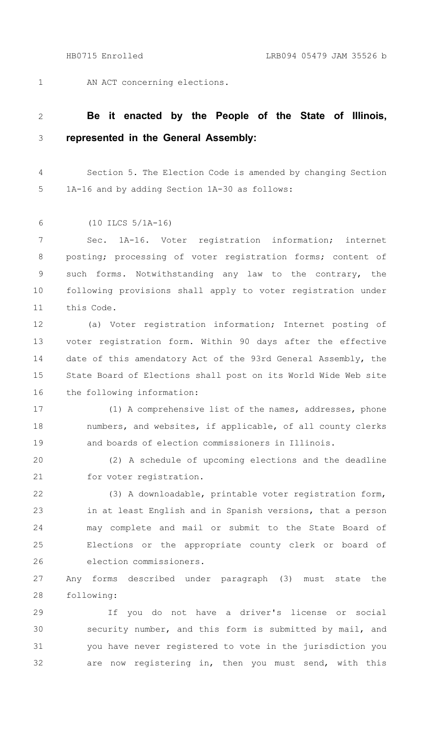1

AN ACT concerning elections.

## **Be it enacted by the People of the State of Illinois, represented in the General Assembly:** 2 3

Section 5. The Election Code is amended by changing Section 1A-16 and by adding Section 1A-30 as follows: 4 5

(10 ILCS 5/1A-16) 6

Sec. 1A-16. Voter registration information; internet posting; processing of voter registration forms; content of such forms. Notwithstanding any law to the contrary, the following provisions shall apply to voter registration under this Code. 7 8 9 10 11

(a) Voter registration information; Internet posting of voter registration form. Within 90 days after the effective date of this amendatory Act of the 93rd General Assembly, the State Board of Elections shall post on its World Wide Web site the following information: 12 13 14 15 16

(1) A comprehensive list of the names, addresses, phone numbers, and websites, if applicable, of all county clerks and boards of election commissioners in Illinois. 17 18 19

(2) A schedule of upcoming elections and the deadline for voter registration. 20 21

(3) A downloadable, printable voter registration form, in at least English and in Spanish versions, that a person may complete and mail or submit to the State Board of Elections or the appropriate county clerk or board of election commissioners. 22 23 24 25 26

Any forms described under paragraph (3) must state the following: 27 28

If you do not have a driver's license or social security number, and this form is submitted by mail, and you have never registered to vote in the jurisdiction you are now registering in, then you must send, with this 29 30 31 32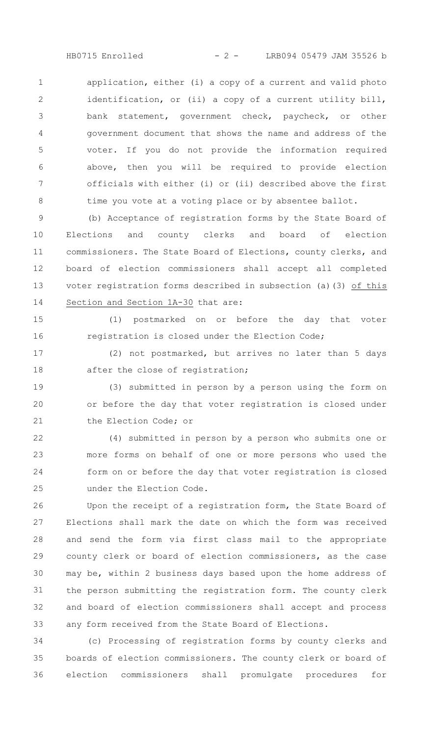application, either (i) a copy of a current and valid photo identification, or (ii) a copy of a current utility bill, bank statement, government check, paycheck, or other government document that shows the name and address of the voter. If you do not provide the information required above, then you will be required to provide election officials with either (i) or (ii) described above the first time you vote at a voting place or by absentee ballot. 1  $\mathcal{P}$ 3 4 5 6 7 8

(b) Acceptance of registration forms by the State Board of Elections and county clerks and board of election commissioners. The State Board of Elections, county clerks, and board of election commissioners shall accept all completed voter registration forms described in subsection (a)(3) of this Section and Section 1A-30 that are: 9 10 11 12 13 14

(1) postmarked on or before the day that voter registration is closed under the Election Code; 15 16

(2) not postmarked, but arrives no later than 5 days after the close of registration; 17 18

(3) submitted in person by a person using the form on or before the day that voter registration is closed under the Election Code; or 19 20 21

(4) submitted in person by a person who submits one or more forms on behalf of one or more persons who used the form on or before the day that voter registration is closed under the Election Code. 22 23 24 25

Upon the receipt of a registration form, the State Board of Elections shall mark the date on which the form was received and send the form via first class mail to the appropriate county clerk or board of election commissioners, as the case may be, within 2 business days based upon the home address of the person submitting the registration form. The county clerk and board of election commissioners shall accept and process any form received from the State Board of Elections. 26 27 28 29 30 31 32 33

(c) Processing of registration forms by county clerks and boards of election commissioners. The county clerk or board of election commissioners shall promulgate procedures for 34 35 36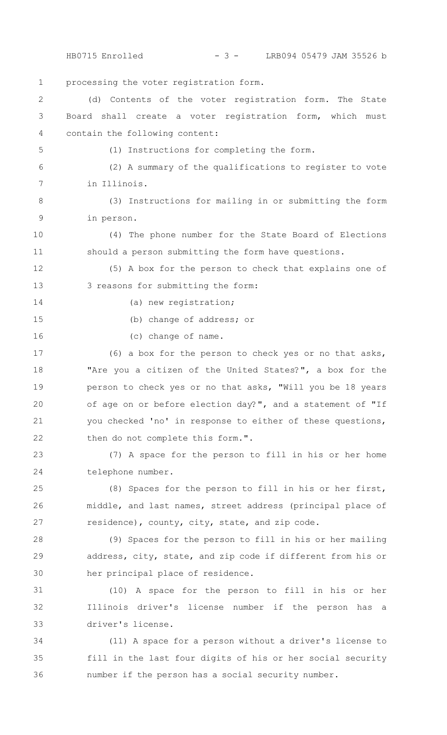processing the voter registration form. (d) Contents of the voter registration form. The State Board shall create a voter registration form, which must contain the following content: (1) Instructions for completing the form. (2) A summary of the qualifications to register to vote in Illinois. (3) Instructions for mailing in or submitting the form in person. (4) The phone number for the State Board of Elections should a person submitting the form have questions. (5) A box for the person to check that explains one of 3 reasons for submitting the form: (a) new registration; (b) change of address; or (c) change of name. (6) a box for the person to check yes or no that asks, "Are you a citizen of the United States?", a box for the person to check yes or no that asks, "Will you be 18 years of age on or before election day?", and a statement of "If you checked 'no' in response to either of these questions, then do not complete this form.". (7) A space for the person to fill in his or her home telephone number. (8) Spaces for the person to fill in his or her first, middle, and last names, street address (principal place of residence), county, city, state, and zip code. (9) Spaces for the person to fill in his or her mailing address, city, state, and zip code if different from his or her principal place of residence. 1  $\mathcal{P}$ 3 4 5 6 7 8 9 10 11 12 13 14 15 16 17 18 19 20 21 22 23 24 25 26 27 28 29 30 31 HB0715 Enrolled - 3 - LRB094 05479 JAM 35526 b

(10) A space for the person to fill in his or her Illinois driver's license number if the person has a driver's license. 32 33

(11) A space for a person without a driver's license to fill in the last four digits of his or her social security number if the person has a social security number. 34 35 36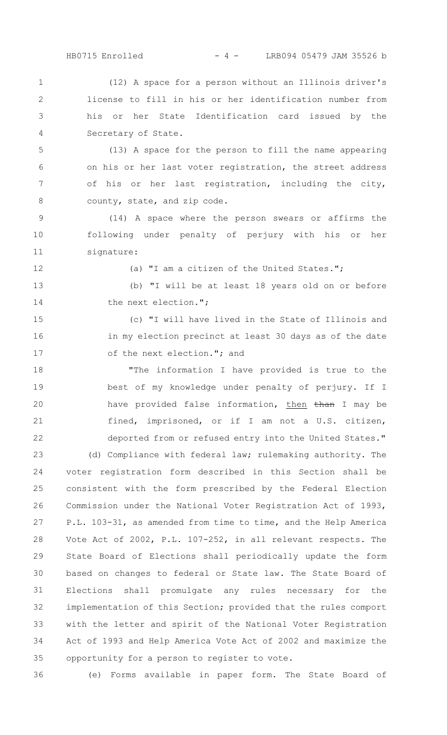(12) A space for a person without an Illinois driver's license to fill in his or her identification number from his or her State Identification card issued by the Secretary of State. 1  $\mathcal{P}$ 3 4

(13) A space for the person to fill the name appearing on his or her last voter registration, the street address of his or her last registration, including the city, county, state, and zip code. 5 6 7 8

(14) A space where the person swears or affirms the following under penalty of perjury with his or her signature: 9 10 11

12

(a) "I am a citizen of the United States.";

(b) "I will be at least 18 years old on or before the next election."; 13 14

(c) "I will have lived in the State of Illinois and in my election precinct at least 30 days as of the date of the next election."; and 15 16 17

"The information I have provided is true to the best of my knowledge under penalty of perjury. If I have provided false information, then than I may be fined, imprisoned, or if I am not a U.S. citizen, deported from or refused entry into the United States." (d) Compliance with federal law; rulemaking authority. The voter registration form described in this Section shall be consistent with the form prescribed by the Federal Election Commission under the National Voter Registration Act of 1993, P.L. 103-31, as amended from time to time, and the Help America Vote Act of 2002, P.L. 107-252, in all relevant respects. The State Board of Elections shall periodically update the form based on changes to federal or State law. The State Board of Elections shall promulgate any rules necessary for the implementation of this Section; provided that the rules comport with the letter and spirit of the National Voter Registration Act of 1993 and Help America Vote Act of 2002 and maximize the opportunity for a person to register to vote. 18 19 20 21 22 23 24 25 26 27 28 29 30 31 32 33 34 35

36

(e) Forms available in paper form. The State Board of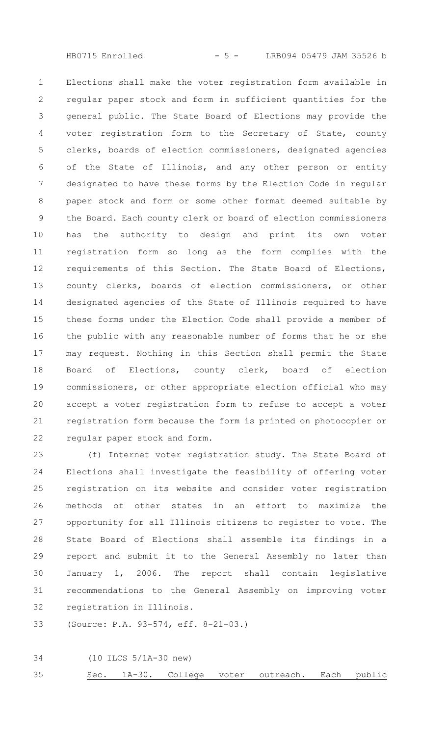HB0715 Enrolled - 5 - LRB094 05479 JAM 35526 b

Elections shall make the voter registration form available in regular paper stock and form in sufficient quantities for the general public. The State Board of Elections may provide the voter registration form to the Secretary of State, county clerks, boards of election commissioners, designated agencies of the State of Illinois, and any other person or entity designated to have these forms by the Election Code in regular paper stock and form or some other format deemed suitable by the Board. Each county clerk or board of election commissioners has the authority to design and print its own voter registration form so long as the form complies with the requirements of this Section. The State Board of Elections, county clerks, boards of election commissioners, or other designated agencies of the State of Illinois required to have these forms under the Election Code shall provide a member of the public with any reasonable number of forms that he or she may request. Nothing in this Section shall permit the State Board of Elections, county clerk, board of election commissioners, or other appropriate election official who may accept a voter registration form to refuse to accept a voter registration form because the form is printed on photocopier or regular paper stock and form. 1 2 3 4 5 6 7 8 9 10 11 12 13 14 15 16 17 18 19 20 21 22

(f) Internet voter registration study. The State Board of Elections shall investigate the feasibility of offering voter registration on its website and consider voter registration methods of other states in an effort to maximize the opportunity for all Illinois citizens to register to vote. The State Board of Elections shall assemble its findings in a report and submit it to the General Assembly no later than January 1, 2006. The report shall contain legislative recommendations to the General Assembly on improving voter registration in Illinois. 23 24 25 26 27 28 29 30 31 32

(Source: P.A. 93-574, eff. 8-21-03.) 33

(10 ILCS 5/1A-30 new) 34

Sec. 1A-30. College voter outreach. Each public 35